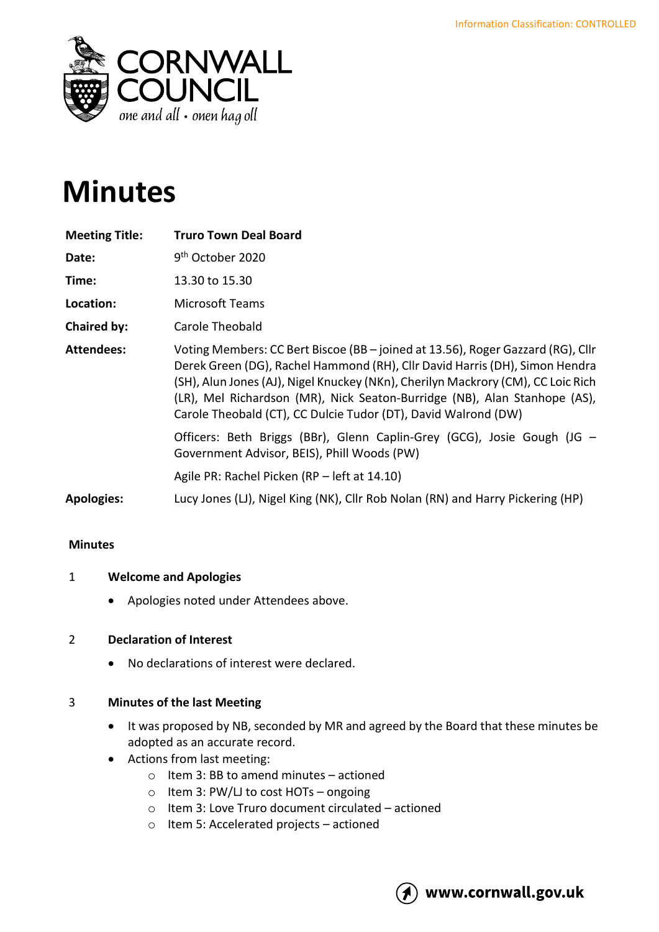

# **Minutes**

| <b>Meeting Title:</b> | <b>Truro Town Deal Board</b>                                                                                                                                                                                                                                                                                                                                                                      |
|-----------------------|---------------------------------------------------------------------------------------------------------------------------------------------------------------------------------------------------------------------------------------------------------------------------------------------------------------------------------------------------------------------------------------------------|
| Date:                 | 9 <sup>th</sup> October 2020                                                                                                                                                                                                                                                                                                                                                                      |
| Time:                 | 13.30 to 15.30                                                                                                                                                                                                                                                                                                                                                                                    |
| Location:             | <b>Microsoft Teams</b>                                                                                                                                                                                                                                                                                                                                                                            |
| <b>Chaired by:</b>    | Carole Theobald                                                                                                                                                                                                                                                                                                                                                                                   |
| <b>Attendees:</b>     | Voting Members: CC Bert Biscoe (BB - joined at 13.56), Roger Gazzard (RG), Cllr<br>Derek Green (DG), Rachel Hammond (RH), Cllr David Harris (DH), Simon Hendra<br>(SH), Alun Jones (AJ), Nigel Knuckey (NKn), Cherilyn Mackrory (CM), CC Loic Rich<br>(LR), Mel Richardson (MR), Nick Seaton-Burridge (NB), Alan Stanhope (AS),<br>Carole Theobald (CT), CC Dulcie Tudor (DT), David Walrond (DW) |
|                       | Officers: Beth Briggs (BBr), Glenn Caplin-Grey (GCG), Josie Gough (JG –<br>Government Advisor, BEIS), Phill Woods (PW)                                                                                                                                                                                                                                                                            |
|                       | Agile PR: Rachel Picken (RP – left at 14.10)                                                                                                                                                                                                                                                                                                                                                      |
| <b>Apologies:</b>     | Lucy Jones (LJ), Nigel King (NK), Cllr Rob Nolan (RN) and Harry Pickering (HP)                                                                                                                                                                                                                                                                                                                    |

# **Minutes**

# 1 **Welcome and Apologies**

• Apologies noted under Attendees above.

# 2 **Declaration of Interest**

• No declarations of interest were declared.

# 3 **Minutes of the last Meeting**

- It was proposed by NB, seconded by MR and agreed by the Board that these minutes be adopted as an accurate record.
- Actions from last meeting:
	- $\circ$  Item 3: BB to amend minutes actioned
	- o Item 3: PW/LJ to cost HOTs ongoing
	- o Item 3: Love Truro document circulated actioned
	- o Item 5: Accelerated projects actioned

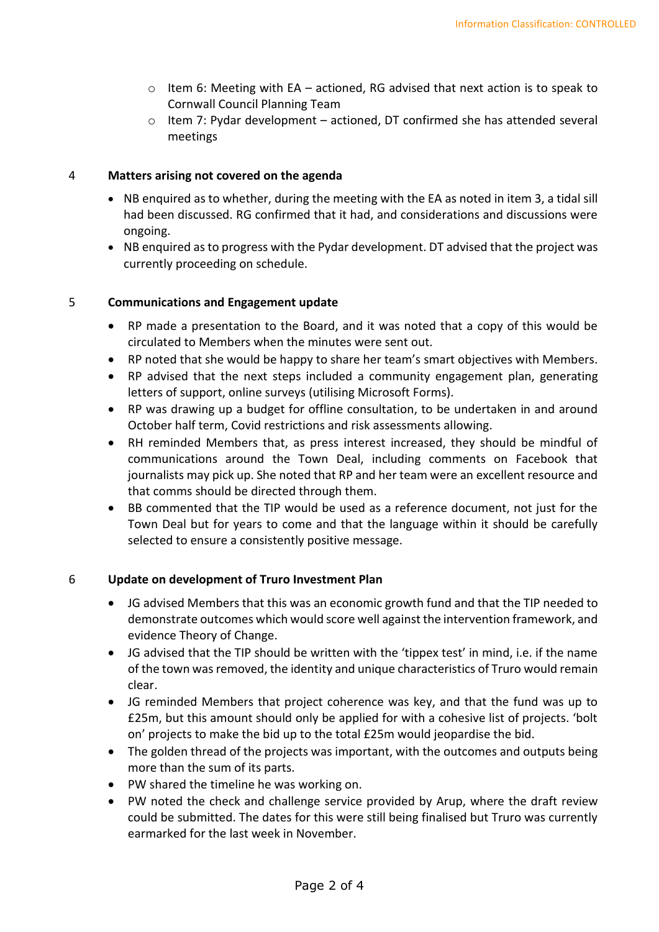- $\circ$  Item 6: Meeting with EA actioned, RG advised that next action is to speak to Cornwall Council Planning Team
- $\circ$  Item 7: Pydar development actioned, DT confirmed she has attended several meetings

## 4 **Matters arising not covered on the agenda**

- NB enquired as to whether, during the meeting with the EA as noted in item 3, a tidal sill had been discussed. RG confirmed that it had, and considerations and discussions were ongoing.
- NB enquired as to progress with the Pydar development. DT advised that the project was currently proceeding on schedule.

## 5 **Communications and Engagement update**

- RP made a presentation to the Board, and it was noted that a copy of this would be circulated to Members when the minutes were sent out.
- RP noted that she would be happy to share her team's smart objectives with Members.
- RP advised that the next steps included a community engagement plan, generating letters of support, online surveys (utilising Microsoft Forms).
- RP was drawing up a budget for offline consultation, to be undertaken in and around October half term, Covid restrictions and risk assessments allowing.
- RH reminded Members that, as press interest increased, they should be mindful of communications around the Town Deal, including comments on Facebook that journalists may pick up. She noted that RP and her team were an excellent resource and that comms should be directed through them.
- BB commented that the TIP would be used as a reference document, not just for the Town Deal but for years to come and that the language within it should be carefully selected to ensure a consistently positive message.

# 6 **Update on development of Truro Investment Plan**

- JG advised Members that this was an economic growth fund and that the TIP needed to demonstrate outcomes which would score well against the intervention framework, and evidence Theory of Change.
- JG advised that the TIP should be written with the 'tippex test' in mind, i.e. if the name of the town was removed, the identity and unique characteristics of Truro would remain clear.
- JG reminded Members that project coherence was key, and that the fund was up to £25m, but this amount should only be applied for with a cohesive list of projects. 'bolt on' projects to make the bid up to the total £25m would jeopardise the bid.
- The golden thread of the projects was important, with the outcomes and outputs being more than the sum of its parts.
- PW shared the timeline he was working on.
- PW noted the check and challenge service provided by Arup, where the draft review could be submitted. The dates for this were still being finalised but Truro was currently earmarked for the last week in November.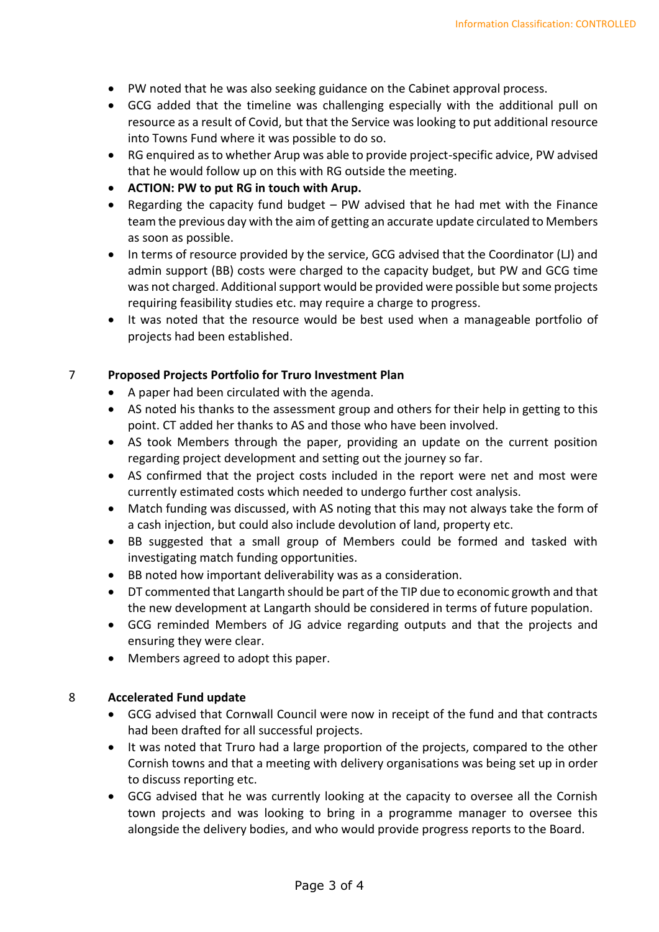- PW noted that he was also seeking guidance on the Cabinet approval process.
- GCG added that the timeline was challenging especially with the additional pull on resource as a result of Covid, but that the Service was looking to put additional resource into Towns Fund where it was possible to do so.
- RG enquired as to whether Arup was able to provide project-specific advice, PW advised that he would follow up on this with RG outside the meeting.
- **ACTION: PW to put RG in touch with Arup.**
- Regarding the capacity fund budget PW advised that he had met with the Finance team the previous day with the aim of getting an accurate update circulated to Members as soon as possible.
- In terms of resource provided by the service, GCG advised that the Coordinator (LJ) and admin support (BB) costs were charged to the capacity budget, but PW and GCG time was not charged. Additional support would be provided were possible but some projects requiring feasibility studies etc. may require a charge to progress.
- It was noted that the resource would be best used when a manageable portfolio of projects had been established.

## 7 **Proposed Projects Portfolio for Truro Investment Plan**

- A paper had been circulated with the agenda.
- AS noted his thanks to the assessment group and others for their help in getting to this point. CT added her thanks to AS and those who have been involved.
- AS took Members through the paper, providing an update on the current position regarding project development and setting out the journey so far.
- AS confirmed that the project costs included in the report were net and most were currently estimated costs which needed to undergo further cost analysis.
- Match funding was discussed, with AS noting that this may not always take the form of a cash injection, but could also include devolution of land, property etc.
- BB suggested that a small group of Members could be formed and tasked with investigating match funding opportunities.
- BB noted how important deliverability was as a consideration.
- DT commented that Langarth should be part of the TIP due to economic growth and that the new development at Langarth should be considered in terms of future population.
- GCG reminded Members of JG advice regarding outputs and that the projects and ensuring they were clear.
- Members agreed to adopt this paper.

# 8 **Accelerated Fund update**

- GCG advised that Cornwall Council were now in receipt of the fund and that contracts had been drafted for all successful projects.
- It was noted that Truro had a large proportion of the projects, compared to the other Cornish towns and that a meeting with delivery organisations was being set up in order to discuss reporting etc.
- GCG advised that he was currently looking at the capacity to oversee all the Cornish town projects and was looking to bring in a programme manager to oversee this alongside the delivery bodies, and who would provide progress reports to the Board.